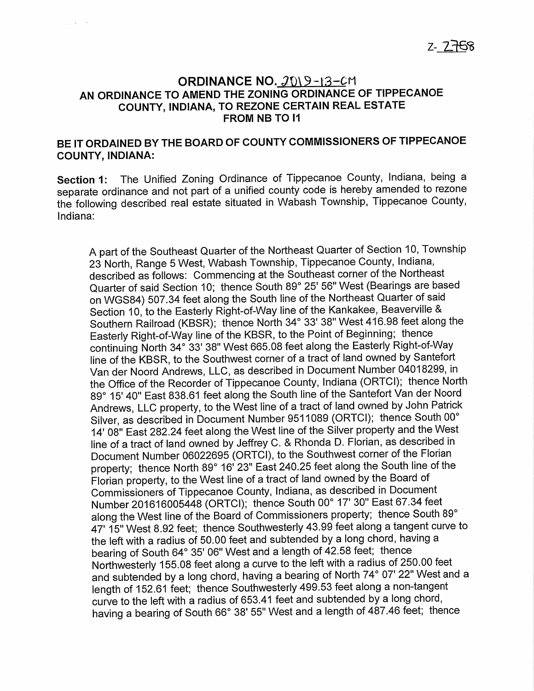## ORDINANCE NO. 2019-13-CM AN ORDINANCE TO AMEND THE ZONING ORDINANCE OF TIPPECANOE COUNTY, INDIANA, TO REZONE CERTAIN REAL ESTATE FROM NB TO I1

## BE IT ORDAINED BY THE BOARD OF COUNTY COMMISSIONERS OF TIPPECANOE COUNTY, INDIANA:

Section 1: The Unified Zoning Ordinance of Tippecanoe County, Indiana, being a separate ordinance and not part of <sup>a</sup> unified county code is hereby amended to rezone the following described real estate situated in Wabash Township, Tippecanoe County, Indiana:

A part of the Southeast Quarter of the Northeast Quarter of Section 10, Township <sup>23</sup> North, Range <sup>5</sup> West, Wabash Township, Tippecanoe County, Indiana, described as follows: Commencing at the Southeast corner of the Northeast Quarter of said Section 10; thence South 89° 25' 56" West (Bearings are based on WGS84) 507.34 feet along the South line of the Northeast Quarter of said Section 10, to the Easterly Right-of-Way line of the Kankakee, Beaverville & Southern Railroad (KBSR); thence North 34° 33' 38" West 416.98 feet along the Easterly Right—of—Way line of the KBSR, to the Point of Beginning; thence continuing North 34° 33' 38" West 665.08 feet along the Easterly Right-of-Way line of the KBSR, to the Southwest corner of <sup>a</sup> tract of land owned by Santefort Van der Noord Andrews, LLC, as described in Document Number 04018299, in the Office of the Recorder of Tippecanoe County, Indiana (ORTCl); thence North 89° 15' 40" East 838.61 feet along the South line of the Santefort Van der Noord Andrews, LLC property, to the West line of <sup>a</sup> tract of land owned by John Patrick Silver, as described in Document Number <sup>9511089</sup> (ORTCl); thence South 00° 14' 08" East 282.24 feet along the West line of the Silver property and the West line of <sup>a</sup> tract of land owned by Jeffrey C. & Rhonda D. Florian, as described in Document Number <sup>06022695</sup> (ORTCI), to the Southwest corner of the Florian property; thence North 89° 16' 23" East 240.25 feet along the South line of the Florian property, to the West line of <sup>a</sup> tract of land owned by the Board of Commissioners of Tippecanoe County, Indiana, as described in Document Number <sup>201616005448</sup> (ORTCl); thence South 00° 17' 30" East 67.34 feet along the West line of the Board of Commissioners property; thence South 89° 47' 15" West 8.92 feet; thence Southwesterly 43.99 feet along <sup>a</sup> tangent curve to the left with <sup>a</sup> radius of 50.00 feet and subtended by <sup>a</sup> long chord, having <sup>a</sup> bearing of South 64° 35' 06" West and <sup>a</sup> length of 42.58 feet; thence Northwesterly 155.08 feet along <sup>a</sup> curve to the left with <sup>a</sup> radius of 250.00 feet and subtended by <sup>a</sup> long chord, having <sup>a</sup> bearing of North 74° 07' 22" West and <sup>a</sup> length of 152.61 feet; thence Southwesterly 499.53 feet along a non-tangent curve to the left with a radius of 653.41 feet and subtended by a long chord, having a bearing of South 66° 38' 55" West and a length of 487.46 feet; thence